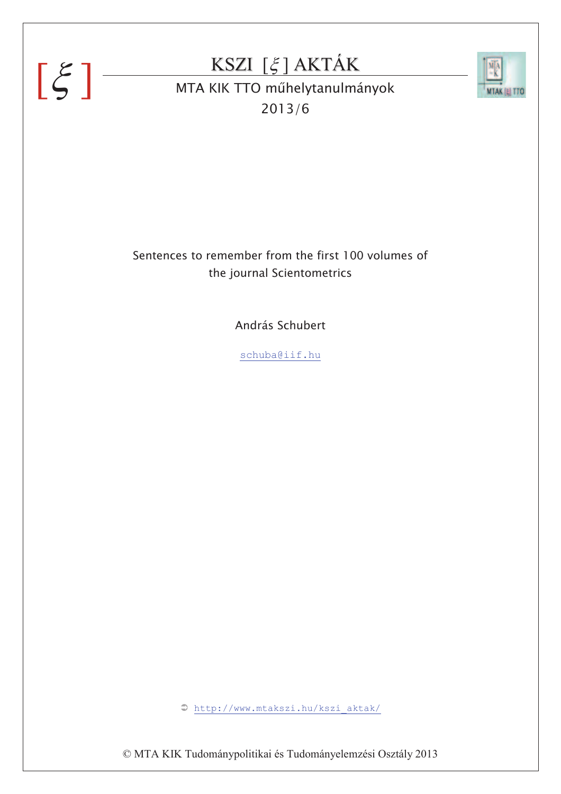# $[\xi]$

# KSZI  $[\xi]$  AKTÁK



KSZI [5 ] AKTAK<br>MTA KIK TTO műhelytanulmányok 2013/6

Sentences to remember from the first 100 volumes of the journal Scientometrics

András Schubert

schuba@iif.hu

‹ http://www.mtakszi.hu/kszi\_aktak/

© MTA KIK Tudománypolitikai és Tudományelemzési Osztály 2013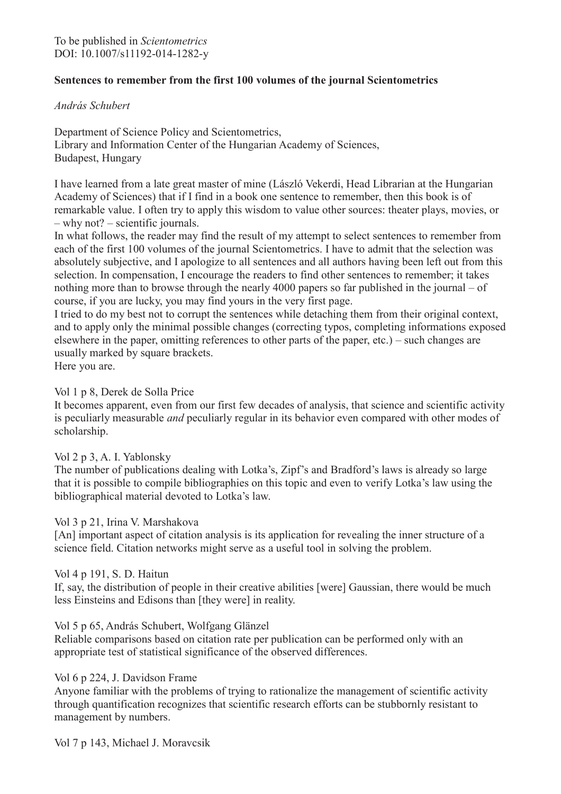# **Sentences to remember from the first 100 volumes of the journal Scientometrics**

#### *András Schubert*

Department of Science Policy and Scientometrics, Library and Information Center of the Hungarian Academy of Sciences, Budapest, Hungary

I have learned from a late great master of mine (László Vekerdi, Head Librarian at the Hungarian Academy of Sciences) that if I find in a book one sentence to remember, then this book is of remarkable value. I often try to apply this wisdom to value other sources: theater plays, movies, or – why not? – scientific journals.

In what follows, the reader may find the result of my attempt to select sentences to remember from each of the first 100 volumes of the journal Scientometrics. I have to admit that the selection was absolutely subjective, and I apologize to all sentences and all authors having been left out from this selection. In compensation, I encourage the readers to find other sentences to remember; it takes nothing more than to browse through the nearly 4000 papers so far published in the journal – of course, if you are lucky, you may find yours in the very first page.

I tried to do my best not to corrupt the sentences while detaching them from their original context, and to apply only the minimal possible changes (correcting typos, completing informations exposed elsewhere in the paper, omitting references to other parts of the paper, etc.) – such changes are usually marked by square brackets.

Here you are.

# Vol 1 p 8, Derek de Solla Price

It becomes apparent, even from our first few decades of analysis, that science and scientific activity is peculiarly measurable *and* peculiarly regular in its behavior even compared with other modes of scholarship.

# Vol 2 p 3, A. I. Yablonsky

The number of publications dealing with Lotka's, Zipf's and Bradford's laws is already so large that it is possible to compile bibliographies on this topic and even to verify Lotka's law using the bibliographical material devoted to Lotka's law.

# Vol 3 p 21, Irina V. Marshakova

[An] important aspect of citation analysis is its application for revealing the inner structure of a science field. Citation networks might serve as a useful tool in solving the problem.

# Vol 4 p 191, S. D. Haitun

If, say, the distribution of people in their creative abilities [were] Gaussian, there would be much less Einsteins and Edisons than [they were] in reality.

# Vol 5 p 65, András Schubert, Wolfgang Glänzel

Reliable comparisons based on citation rate per publication can be performed only with an appropriate test of statistical significance of the observed differences.

# Vol 6 p 224, J. Davidson Frame

Anyone familiar with the problems of trying to rationalize the management of scientific activity through quantification recognizes that scientific research efforts can be stubbornly resistant to management by numbers.

Vol 7 p 143, Michael J. Moravcsik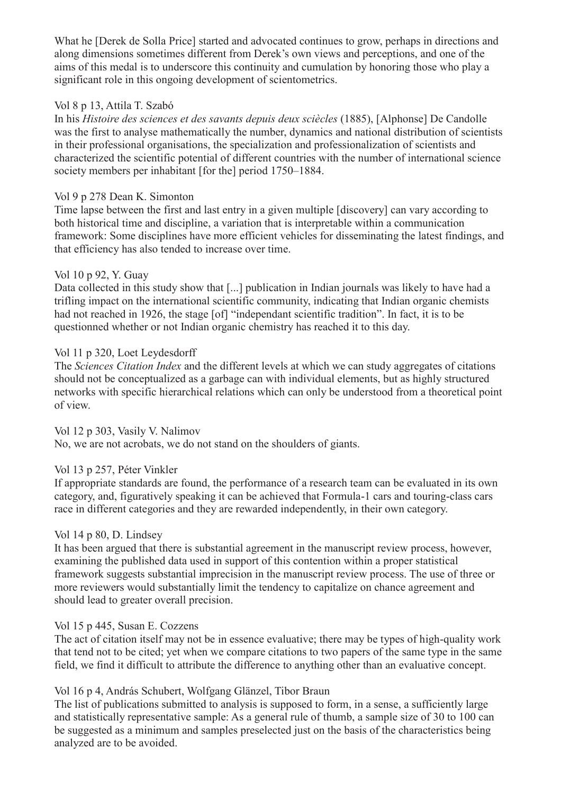What he [Derek de Solla Price] started and advocated continues to grow, perhaps in directions and along dimensions sometimes different from Derek's own views and perceptions, and one of the aims of this medal is to underscore this continuity and cumulation by honoring those who play a significant role in this ongoing development of scientometrics.

# Vol 8 p 13, Attila T. Szabó

In his *Histoire des sciences et des savants depuis deux sciècles* (1885), [Alphonse] De Candolle was the first to analyse mathematically the number, dynamics and national distribution of scientists in their professional organisations, the specialization and professionalization of scientists and characterized the scientific potential of different countries with the number of international science society members per inhabitant [for the] period 1750–1884.

# Vol 9 p 278 Dean K. Simonton

Time lapse between the first and last entry in a given multiple [discovery] can vary according to both historical time and discipline, a variation that is interpretable within a communication framework: Some disciplines have more efficient vehicles for disseminating the latest findings, and that efficiency has also tended to increase over time.

# Vol 10 p 92, Y. Guay

Data collected in this study show that [...] publication in Indian journals was likely to have had a trifling impact on the international scientific community, indicating that Indian organic chemists had not reached in 1926, the stage [of] "independant scientific tradition". In fact, it is to be questionned whether or not Indian organic chemistry has reached it to this day.

# Vol 11 p 320, Loet Leydesdorff

The *Sciences Citation Index* and the different levels at which we can study aggregates of citations should not be conceptualized as a garbage can with individual elements, but as highly structured networks with specific hierarchical relations which can only be understood from a theoretical point of view.

# Vol 12 p 303, Vasily V. Nalimov

No, we are not acrobats, we do not stand on the shoulders of giants.

# Vol 13 p 257, Péter Vinkler

If appropriate standards are found, the performance of a research team can be evaluated in its own category, and, figuratively speaking it can be achieved that Formula-1 cars and touring-class cars race in different categories and they are rewarded independently, in their own category.

# Vol 14 p 80, D. Lindsey

It has been argued that there is substantial agreement in the manuscript review process, however, examining the published data used in support of this contention within a proper statistical framework suggests substantial imprecision in the manuscript review process. The use of three or more reviewers would substantially limit the tendency to capitalize on chance agreement and should lead to greater overall precision.

# Vol 15 p 445, Susan E. Cozzens

The act of citation itself may not be in essence evaluative; there may be types of high-quality work that tend not to be cited; yet when we compare citations to two papers of the same type in the same field, we find it difficult to attribute the difference to anything other than an evaluative concept.

# Vol 16 p 4, András Schubert, Wolfgang Glänzel, Tibor Braun

The list of publications submitted to analysis is supposed to form, in a sense, a sufficiently large and statistically representative sample: As a general rule of thumb, a sample size of 30 to 100 can be suggested as a minimum and samples preselected just on the basis of the characteristics being analyzed are to be avoided.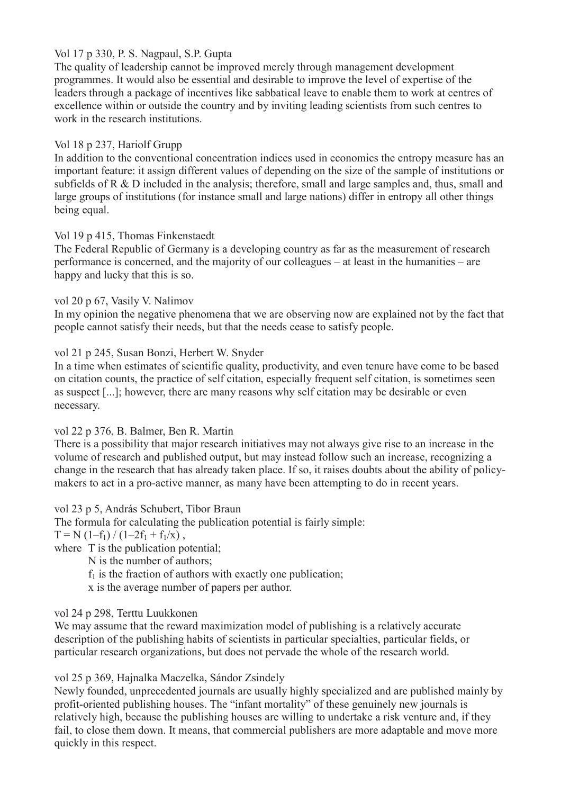# Vol 17 p 330, P. S. Nagpaul, S.P. Gupta

The quality of leadership cannot be improved merely through management development programmes. It would also be essential and desirable to improve the level of expertise of the leaders through a package of incentives like sabbatical leave to enable them to work at centres of excellence within or outside the country and by inviting leading scientists from such centres to work in the research institutions.

# Vol 18 p 237, Hariolf Grupp

In addition to the conventional concentration indices used in economics the entropy measure has an important feature: it assign different values of depending on the size of the sample of institutions or subfields of R & D included in the analysis; therefore, small and large samples and, thus, small and large groups of institutions (for instance small and large nations) differ in entropy all other things being equal.

# Vol 19 p 415, Thomas Finkenstaedt

The Federal Republic of Germany is a developing country as far as the measurement of research performance is concerned, and the majority of our colleagues – at least in the humanities – are happy and lucky that this is so.

# vol 20 p 67, Vasily V. Nalimov

In my opinion the negative phenomena that we are observing now are explained not by the fact that people cannot satisfy their needs, but that the needs cease to satisfy people.

# vol 21 p 245, Susan Bonzi, Herbert W. Snyder

In a time when estimates of scientific quality, productivity, and even tenure have come to be based on citation counts, the practice of self citation, especially frequent self citation, is sometimes seen as suspect [...]; however, there are many reasons why self citation may be desirable or even necessary.

# vol 22 p 376, B. Balmer, Ben R. Martin

There is a possibility that major research initiatives may not always give rise to an increase in the volume of research and published output, but may instead follow such an increase, recognizing a change in the research that has already taken place. If so, it raises doubts about the ability of policymakers to act in a pro-active manner, as many have been attempting to do in recent years.

# vol 23 p 5, András Schubert, Tibor Braun

The formula for calculating the publication potential is fairly simple:

 $T = N (1-f_1) / (1-2f_1 + f_1/x)$ ,

# where T is the publication potential;

- N is the number of authors;
- $f_1$  is the fraction of authors with exactly one publication;
- x is the average number of papers per author.

# vol 24 p 298, Terttu Luukkonen

We may assume that the reward maximization model of publishing is a relatively accurate description of the publishing habits of scientists in particular specialties, particular fields, or particular research organizations, but does not pervade the whole of the research world.

# vol 25 p 369, Hajnalka Maczelka, Sándor Zsindely

Newly founded, unprecedented journals are usually highly specialized and are published mainly by profit-oriented publishing houses. The "infant mortality" of these genuinely new journals is relatively high, because the publishing houses are willing to undertake a risk venture and, if they fail, to close them down. It means, that commercial publishers are more adaptable and move more quickly in this respect.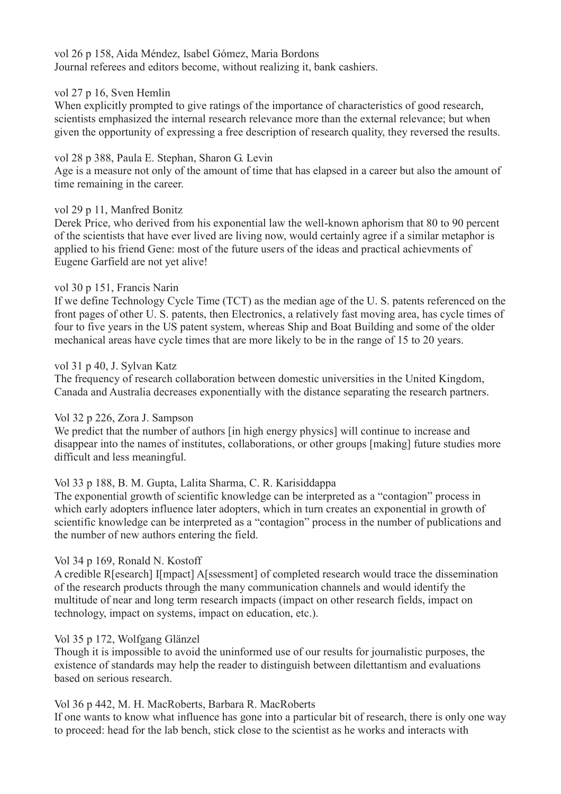vol 26 p 158, Aida Méndez, Isabel Gómez, Maria Bordons Journal referees and editors become, without realizing it, bank cashiers.

# vol 27 p 16, Sven Hemlin

When explicitly prompted to give ratings of the importance of characteristics of good research, scientists emphasized the internal research relevance more than the external relevance; but when given the opportunity of expressing a free description of research quality, they reversed the results.

# vol 28 p 388, Paula E. Stephan, Sharon G. Levin

Age is a measure not only of the amount of time that has elapsed in a career but also the amount of time remaining in the career.

# vol 29 p 11, Manfred Bonitz

Derek Price, who derived from his exponential law the well-known aphorism that 80 to 90 percent of the scientists that have ever lived are living now, would certainly agree if a similar metaphor is applied to his friend Gene: most of the future users of the ideas and practical achievments of Eugene Garfield are not yet alive!

#### vol 30 p 151, Francis Narin

If we define Technology Cycle Time (TCT) as the median age of the U. S. patents referenced on the front pages of other U. S. patents, then Electronics, a relatively fast moving area, has cycle times of four to five years in the US patent system, whereas Ship and Boat Building and some of the older mechanical areas have cycle times that are more likely to be in the range of 15 to 20 years.

#### vol 31 p 40, J. Sylvan Katz

The frequency of research collaboration between domestic universities in the United Kingdom, Canada and Australia decreases exponentially with the distance separating the research partners.

# Vol 32 p 226, Zora J. Sampson

We predict that the number of authors [in high energy physics] will continue to increase and disappear into the names of institutes, collaborations, or other groups [making] future studies more difficult and less meaningful.

# Vol 33 p 188, B. M. Gupta, Lalita Sharma, C. R. Karisiddappa

The exponential growth of scientific knowledge can be interpreted as a "contagion" process in which early adopters influence later adopters, which in turn creates an exponential in growth of scientific knowledge can be interpreted as a "contagion" process in the number of publications and the number of new authors entering the field.

# Vol 34 p 169, Ronald N. Kostoff

A credible R[esearch] I[mpact] A[ssessment] of completed research would trace the dissemination of the research products through the many communication channels and would identify the multitude of near and long term research impacts (impact on other research fields, impact on technology, impact on systems, impact on education, etc.).

# Vol 35 p 172, Wolfgang Glänzel

Though it is impossible to avoid the uninformed use of our results for journalistic purposes, the existence of standards may help the reader to distinguish between dilettantism and evaluations based on serious research.

# Vol 36 p 442, M. H. MacRoberts, Barbara R. MacRoberts

If one wants to know what influence has gone into a particular bit of research, there is only one way to proceed: head for the lab bench, stick close to the scientist as he works and interacts with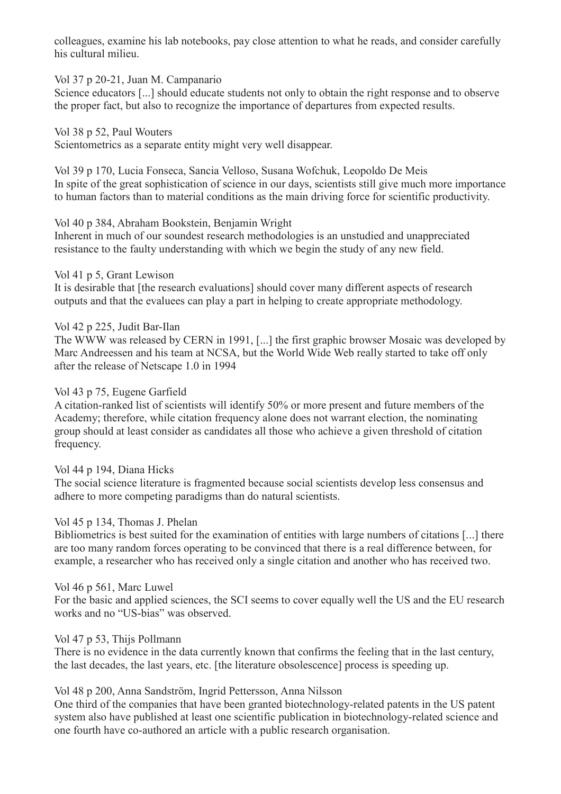colleagues, examine his lab notebooks, pay close attention to what he reads, and consider carefully his cultural milieu.

# Vol 37 p 20-21, Juan M. Campanario

Science educators [...] should educate students not only to obtain the right response and to observe the proper fact, but also to recognize the importance of departures from expected results.

Vol 38 p 52, Paul Wouters Scientometrics as a separate entity might very well disappear.

Vol 39 p 170, Lucia Fonseca, Sancia Velloso, Susana Wofchuk, Leopoldo De Meis In spite of the great sophistication of science in our days, scientists still give much more importance to human factors than to material conditions as the main driving force for scientific productivity.

#### Vol 40 p 384, Abraham Bookstein, Benjamin Wright

Inherent in much of our soundest research methodologies is an unstudied and unappreciated resistance to the faulty understanding with which we begin the study of any new field.

#### Vol 41 p 5, Grant Lewison

It is desirable that [the research evaluations] should cover many different aspects of research outputs and that the evaluees can play a part in helping to create appropriate methodology.

# Vol 42 p 225, Judit Bar-Ilan

The WWW was released by CERN in 1991, [...] the first graphic browser Mosaic was developed by Marc Andreessen and his team at NCSA, but the World Wide Web really started to take off only after the release of Netscape 1.0 in 1994

#### Vol 43 p 75, Eugene Garfield

A citation-ranked list of scientists will identify 50% or more present and future members of the Academy; therefore, while citation frequency alone does not warrant election, the nominating group should at least consider as candidates all those who achieve a given threshold of citation frequency.

#### Vol 44 p 194, Diana Hicks

The social science literature is fragmented because social scientists develop less consensus and adhere to more competing paradigms than do natural scientists.

#### Vol 45 p 134, Thomas J. Phelan

Bibliometrics is best suited for the examination of entities with large numbers of citations [...] there are too many random forces operating to be convinced that there is a real difference between, for example, a researcher who has received only a single citation and another who has received two.

#### Vol 46 p 561, Marc Luwel

For the basic and applied sciences, the SCI seems to cover equally well the US and the EU research works and no "US-bias" was observed.

#### Vol 47 p 53, Thijs Pollmann

There is no evidence in the data currently known that confirms the feeling that in the last century, the last decades, the last years, etc. [the literature obsolescence] process is speeding up.

#### Vol 48 p 200, Anna Sandström, Ingrid Pettersson, Anna Nilsson

One third of the companies that have been granted biotechnology-related patents in the US patent system also have published at least one scientific publication in biotechnology-related science and one fourth have co-authored an article with a public research organisation.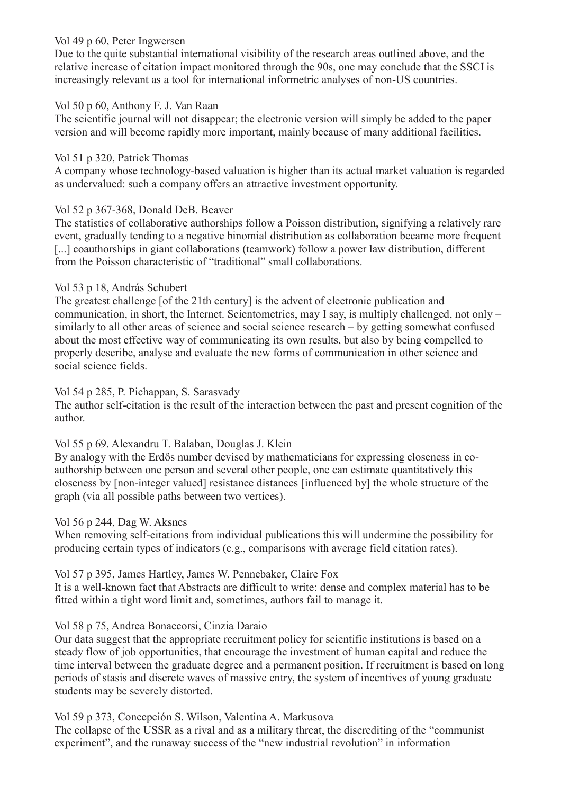# Vol 49 p 60, Peter Ingwersen

Due to the quite substantial international visibility of the research areas outlined above, and the relative increase of citation impact monitored through the 90s, one may conclude that the SSCI is increasingly relevant as a tool for international informetric analyses of non-US countries.

# Vol 50 p 60, Anthony F. J. Van Raan

The scientific journal will not disappear; the electronic version will simply be added to the paper version and will become rapidly more important, mainly because of many additional facilities.

#### Vol 51 p 320, Patrick Thomas

A company whose technology-based valuation is higher than its actual market valuation is regarded as undervalued: such a company offers an attractive investment opportunity.

# Vol 52 p 367-368, Donald DeB. Beaver

The statistics of collaborative authorships follow a Poisson distribution, signifying a relatively rare event, gradually tending to a negative binomial distribution as collaboration became more frequent [...] coauthorships in giant collaborations (teamwork) follow a power law distribution, different from the Poisson characteristic of "traditional" small collaborations.

#### Vol 53 p 18, András Schubert

The greatest challenge [of the 21th century] is the advent of electronic publication and communication, in short, the Internet. Scientometrics, may I say, is multiply challenged, not only – similarly to all other areas of science and social science research – by getting somewhat confused about the most effective way of communicating its own results, but also by being compelled to properly describe, analyse and evaluate the new forms of communication in other science and social science fields.

#### Vol 54 p 285, P. Pichappan, S. Sarasvady

The author self-citation is the result of the interaction between the past and present cognition of the author.

# Vol 55 p 69. Alexandru T. Balaban, Douglas J. Klein

By analogy with the Erdős number devised by mathematicians for expressing closeness in coauthorship between one person and several other people, one can estimate quantitatively this closeness by [non-integer valued] resistance distances [influenced by] the whole structure of the graph (via all possible paths between two vertices).

#### Vol 56 p 244, Dag W. Aksnes

When removing self-citations from individual publications this will undermine the possibility for producing certain types of indicators (e.g., comparisons with average field citation rates).

# Vol 57 p 395, James Hartley, James W. Pennebaker, Claire Fox

It is a well-known fact that Abstracts are difficult to write: dense and complex material has to be fitted within a tight word limit and, sometimes, authors fail to manage it.

# Vol 58 p 75, Andrea Bonaccorsi, Cinzia Daraio

Our data suggest that the appropriate recruitment policy for scientific institutions is based on a steady flow of job opportunities, that encourage the investment of human capital and reduce the time interval between the graduate degree and a permanent position. If recruitment is based on long periods of stasis and discrete waves of massive entry, the system of incentives of young graduate students may be severely distorted.

# Vol 59 p 373, Concepción S. Wilson, Valentina A. Markusova

The collapse of the USSR as a rival and as a military threat, the discrediting of the "communist experiment", and the runaway success of the "new industrial revolution" in information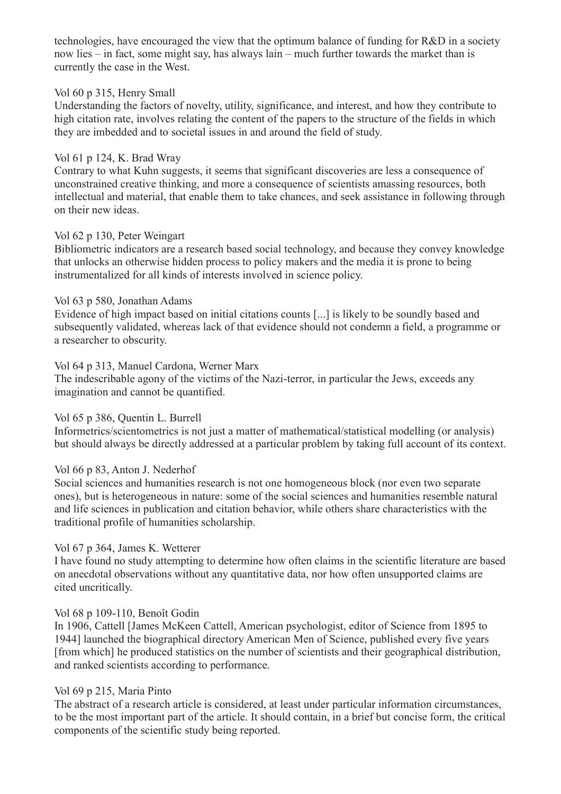technologies, have encouraged the view that the optimum balance of funding for R&D in a society now lies – in fact, some might say, has always lain – much further towards the market than is currently the case in the West.

#### Vol 60 p 315, Henry Small

Understanding the factors of novelty, utility, significance, and interest, and how they contribute to high citation rate, involves relating the content of the papers to the structure of the fields in which they are imbedded and to societal issues in and around the field of study.

#### Vol 61 p 124, K. Brad Wray

Contrary to what Kuhn suggests, it seems that significant discoveries are less a consequence of unconstrained creative thinking, and more a consequence of scientists amassing resources, both intellectual and material, that enable them to take chances, and seek assistance in following through on their new ideas.

#### Vol 62 p 130, Peter Weingart

Bibliometric indicators are a research based social technology, and because they convey knowledge that unlocks an otherwise hidden process to policy makers and the media it is prone to being instrumentalized for all kinds of interests involved in science policy.

#### Vol 63 p 580, Jonathan Adams

Evidence of high impact based on initial citations counts [...] is likely to be soundly based and subsequently validated, whereas lack of that evidence should not condemn a field, a programme or a researcher to obscurity.

#### Vol 64 p 313, Manuel Cardona, Werner Marx

The indescribable agony of the victims of the Nazi-terror, in particular the Jews, exceeds any imagination and cannot be quantified.

# Vol 65 p 386, Quentin L. Burrell

Informetrics/scientometrics is not just a matter of mathematical/statistical modelling (or analysis) but should always be directly addressed at a particular problem by taking full account of its context.

# Vol 66 p 83, Anton J. Nederhof

Social sciences and humanities research is not one homogeneous block (nor even two separate ones), but is heterogeneous in nature: some of the social sciences and humanities resemble natural and life sciences in publication and citation behavior, while others share characteristics with the traditional profile of humanities scholarship.

# Vol 67 p 364, James K. Wetterer

I have found no study attempting to determine how often claims in the scientific literature are based on anecdotal observations without any quantitative data, nor how often unsupported claims are cited uncritically.

#### Vol 68 p 109-110, Benoît Godin

In 1906, Cattell [James McKeen Cattell, American psychologist, editor of Science from 1895 to 1944] launched the biographical directory American Men of Science, published every five years [from which] he produced statistics on the number of scientists and their geographical distribution, and ranked scientists according to performance.

#### Vol 69 p 215, Maria Pinto

The abstract of a research article is considered, at least under particular information circumstances, to be the most important part of the article. It should contain, in a brief but concise form, the critical components of the scientific study being reported.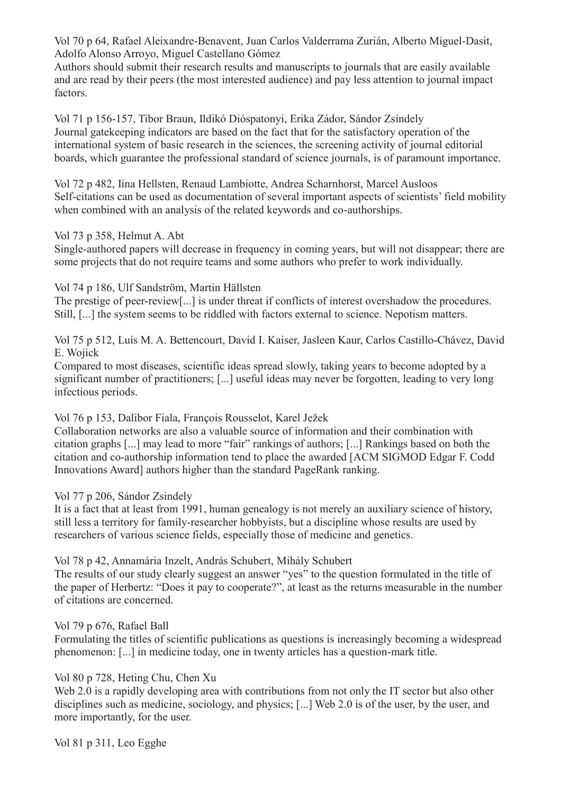Vol 70 p 64, Rafael Aleixandre-Benavent, Juan Carlos Valderrama Zurián, Alberto Miguel-Dasit, Adolfo Alonso Arroyo, Miguel Castellano Gómez

Authors should submit their research results and manuscripts to journals that are easily available and are read by their peers (the most interested audience) and pay less attention to journal impact factors.

Vol 71 p 156-157, Tibor Braun, Ildikó Dióspatonyi, Erika Zádor, Sándor Zsindely Journal gatekeeping indicators are based on the fact that for the satisfactory operation of the international system of basic research in the sciences, the screening activity of journal editorial boards, which guarantee the professional standard of science journals, is of paramount importance.

Vol 72 p 482, Iina Hellsten, Renaud Lambiotte, Andrea Scharnhorst, Marcel Ausloos Self-citations can be used as documentation of several important aspects of scientists' field mobility when combined with an analysis of the related keywords and co-authorships.

Vol 73 p 358, Helmut A. Abt

Single-authored papers will decrease in frequency in coming years, but will not disappear; there are some projects that do not require teams and some authors who prefer to work individually.

Vol 74 p 186, Ulf Sandström, Martin Hällsten

The prestige of peer-review[...] is under threat if conflicts of interest overshadow the procedures. Still, [...] the system seems to be riddled with factors external to science. Nepotism matters.

Vol 75 p 512, Luís M. A. Bettencourt, David I. Kaiser, Jasleen Kaur, Carlos Castillo-Chávez, David E. Wojick

Compared to most diseases, scientific ideas spread slowly, taking years to become adopted by a significant number of practitioners; [...] useful ideas may never be forgotten, leading to very long infectious periods.

Vol 76 p 153, Dalibor Fiala, François Rousselot, Karel Ježek

Collaboration networks are also a valuable source of information and their combination with citation graphs [...] may lead to more "fair" rankings of authors; [...] Rankings based on both the citation and co-authorship information tend to place the awarded [ACM SIGMOD Edgar F. Codd Innovations Award] authors higher than the standard PageRank ranking.

# Vol 77 p 206, Sándor Zsindely

It is a fact that at least from 1991, human genealogy is not merely an auxiliary science of history, still less a territory for family-researcher hobbyists, but a discipline whose results are used by researchers of various science fields, especially those of medicine and genetics.

Vol 78 p 42, Annamária Inzelt, András Schubert, Mihály Schubert

The results of our study clearly suggest an answer "yes" to the question formulated in the title of the paper of Herbertz: "Does it pay to cooperate?", at least as the returns measurable in the number of citations are concerned.

Vol 79 p 676, Rafael Ball

Formulating the titles of scientific publications as questions is increasingly becoming a widespread phenomenon: [...] in medicine today, one in twenty articles has a question-mark title.

Vol 80 p 728, Heting Chu, Chen Xu

Web 2.0 is a rapidly developing area with contributions from not only the IT sector but also other disciplines such as medicine, sociology, and physics; [...] Web 2.0 is of the user, by the user, and more importantly, for the user.

Vol 81 p 311, Leo Egghe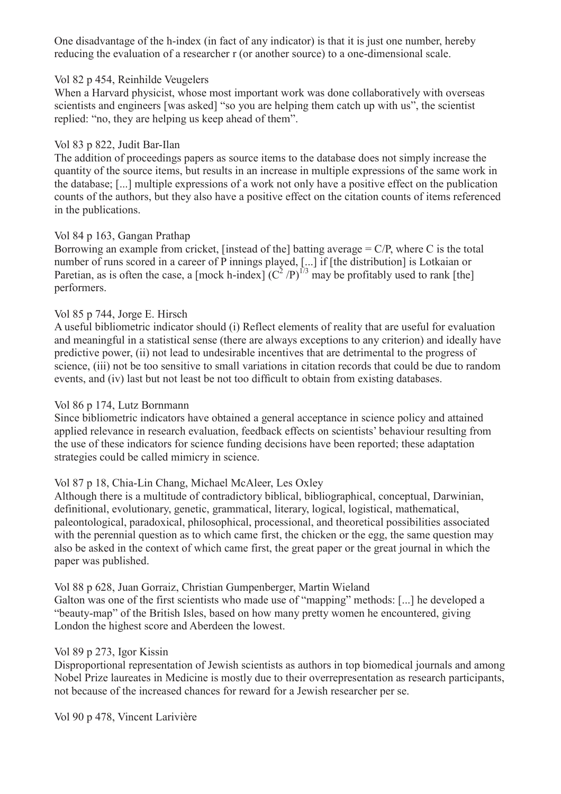One disadvantage of the h-index (in fact of any indicator) is that it is just one number, hereby reducing the evaluation of a researcher r (or another source) to a one-dimensional scale.

# Vol 82 p 454, Reinhilde Veugelers

When a Harvard physicist, whose most important work was done collaboratively with overseas scientists and engineers [was asked] "so you are helping them catch up with us", the scientist replied: "no, they are helping us keep ahead of them".

# Vol 83 p 822, Judit Bar-Ilan

The addition of proceedings papers as source items to the database does not simply increase the quantity of the source items, but results in an increase in multiple expressions of the same work in the database; [...] multiple expressions of a work not only have a positive effect on the publication counts of the authors, but they also have a positive effect on the citation counts of items referenced in the publications.

# Vol 84 p 163, Gangan Prathap

Borrowing an example from cricket, [instead of the] batting average  $= C/P$ , where C is the total number of runs scored in a career of P innings played, [...] if [the distribution] is Lotkaian or Paretian, as is often the case, a [mock h-index]  $(C^2/P)^{1/3}$  may be profitably used to rank [the] performers.

# Vol 85 p 744, Jorge E. Hirsch

A useful bibliometric indicator should (i) Reflect elements of reality that are useful for evaluation and meaningful in a statistical sense (there are always exceptions to any criterion) and ideally have predictive power, (ii) not lead to undesirable incentives that are detrimental to the progress of science, (iii) not be too sensitive to small variations in citation records that could be due to random events, and (iv) last but not least be not too difficult to obtain from existing databases.

# Vol 86 p 174, Lutz Bornmann

Since bibliometric indicators have obtained a general acceptance in science policy and attained applied relevance in research evaluation, feedback effects on scientists' behaviour resulting from the use of these indicators for science funding decisions have been reported; these adaptation strategies could be called mimicry in science.

# Vol 87 p 18, Chia-Lin Chang, Michael McAleer, Les Oxley

Although there is a multitude of contradictory biblical, bibliographical, conceptual, Darwinian, definitional, evolutionary, genetic, grammatical, literary, logical, logistical, mathematical, paleontological, paradoxical, philosophical, processional, and theoretical possibilities associated with the perennial question as to which came first, the chicken or the egg, the same question may also be asked in the context of which came first, the great paper or the great journal in which the paper was published.

# Vol 88 p 628, Juan Gorraiz, Christian Gumpenberger, Martin Wieland

Galton was one of the first scientists who made use of "mapping" methods: [...] he developed a "beauty-map" of the British Isles, based on how many pretty women he encountered, giving London the highest score and Aberdeen the lowest.

# Vol 89 p 273, Igor Kissin

Disproportional representation of Jewish scientists as authors in top biomedical journals and among Nobel Prize laureates in Medicine is mostly due to their overrepresentation as research participants, not because of the increased chances for reward for a Jewish researcher per se.

Vol 90 p 478, Vincent Larivière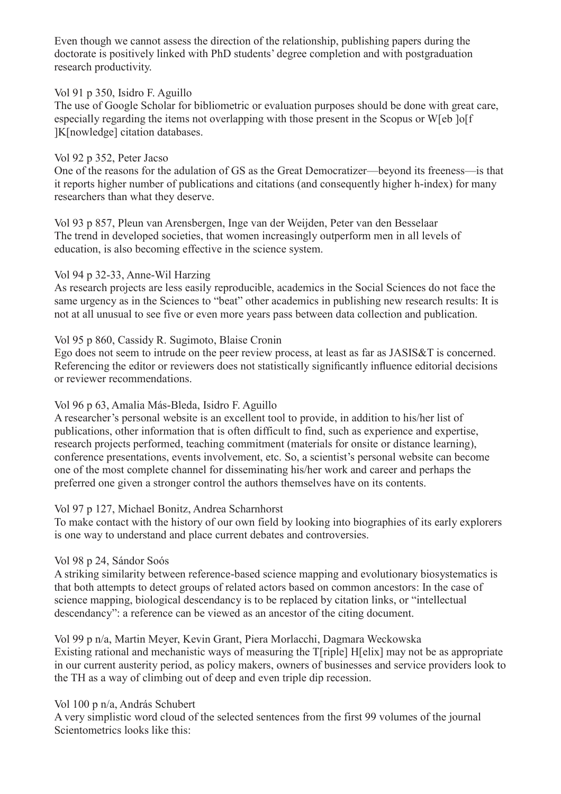Even though we cannot assess the direction of the relationship, publishing papers during the doctorate is positively linked with PhD students' degree completion and with postgraduation research productivity.

#### Vol 91 p 350, Isidro F. Aguillo

The use of Google Scholar for bibliometric or evaluation purposes should be done with great care, especially regarding the items not overlapping with those present in the Scopus or W[eb ]o[f ]K[nowledge] citation databases.

# Vol 92 p 352, Peter Jacso

One of the reasons for the adulation of GS as the Great Democratizer—beyond its freeness—is that it reports higher number of publications and citations (and consequently higher h-index) for many researchers than what they deserve.

Vol 93 p 857, Pleun van Arensbergen, Inge van der Weijden, Peter van den Besselaar The trend in developed societies, that women increasingly outperform men in all levels of education, is also becoming effective in the science system.

#### Vol 94 p 32-33, Anne-Wil Harzing

As research projects are less easily reproducible, academics in the Social Sciences do not face the same urgency as in the Sciences to "beat" other academics in publishing new research results: It is not at all unusual to see five or even more years pass between data collection and publication.

# Vol 95 p 860, Cassidy R. Sugimoto, Blaise Cronin

Ego does not seem to intrude on the peer review process, at least as far as JASIS&T is concerned. Referencing the editor or reviewers does not statistically significantly influence editorial decisions or reviewer recommendations.

# Vol 96 p 63, Amalia Más-Bleda, Isidro F. Aguillo

A researcher's personal website is an excellent tool to provide, in addition to his/her list of publications, other information that is often difficult to find, such as experience and expertise, research projects performed, teaching commitment (materials for onsite or distance learning), conference presentations, events involvement, etc. So, a scientist's personal website can become one of the most complete channel for disseminating his/her work and career and perhaps the preferred one given a stronger control the authors themselves have on its contents.

# Vol 97 p 127, Michael Bonitz, Andrea Scharnhorst

To make contact with the history of our own field by looking into biographies of its early explorers is one way to understand and place current debates and controversies.

# Vol 98 p 24, Sándor Soós

A striking similarity between reference-based science mapping and evolutionary biosystematics is that both attempts to detect groups of related actors based on common ancestors: In the case of science mapping, biological descendancy is to be replaced by citation links, or "intellectual descendancy": a reference can be viewed as an ancestor of the citing document.

Vol 99 p n/a, Martin Meyer, Kevin Grant, Piera Morlacchi, Dagmara Weckowska Existing rational and mechanistic ways of measuring the T[riple] H[elix] may not be as appropriate in our current austerity period, as policy makers, owners of businesses and service providers look to the TH as a way of climbing out of deep and even triple dip recession.

# Vol 100 p n/a, András Schubert

A very simplistic word cloud of the selected sentences from the first 99 volumes of the journal Scientometrics looks like this: